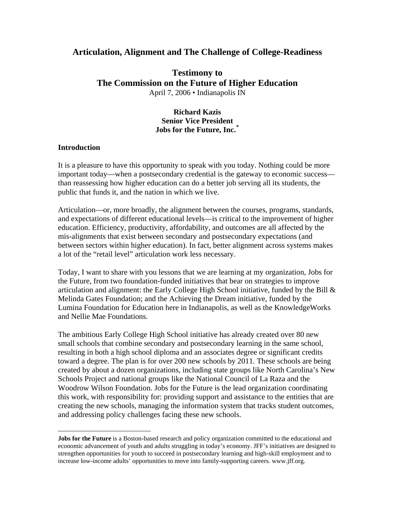## **Articulation, Alignment and The Challenge of College-Readiness**

# **Testimony to The Commission on the Future of Higher Education**  April 7, 2006 • Indianapolis IN

### **Richard Kazis Senior Vice President Jobs for the Future, Inc.[\\*](#page-0-0)**

#### **Introduction**

 $\overline{a}$ 

It is a pleasure to have this opportunity to speak with you today. Nothing could be more important today—when a postsecondary credential is the gateway to economic success than reassessing how higher education can do a better job serving all its students, the public that funds it, and the nation in which we live.

Articulation—or, more broadly, the alignment between the courses, programs, standards, and expectations of different educational levels—is critical to the improvement of higher education. Efficiency, productivity, affordability, and outcomes are all affected by the mis-alignments that exist between secondary and postsecondary expectations (and between sectors within higher education). In fact, better alignment across systems makes a lot of the "retail level" articulation work less necessary.

Today, I want to share with you lessons that we are learning at my organization, Jobs for the Future, from two foundation-funded initiatives that bear on strategies to improve articulation and alignment: the Early College High School initiative, funded by the Bill & Melinda Gates Foundation; and the Achieving the Dream initiative, funded by the Lumina Foundation for Education here in Indianapolis, as well as the KnowledgeWorks and Nellie Mae Foundations.

The ambitious Early College High School initiative has already created over 80 new small schools that combine secondary and postsecondary learning in the same school, resulting in both a high school diploma and an associates degree or significant credits toward a degree. The plan is for over 200 new schools by 2011. These schools are being created by about a dozen organizations, including state groups like North Carolina's New Schools Project and national groups like the National Council of La Raza and the Woodrow Wilson Foundation. Jobs for the Future is the lead organization coordinating this work, with responsibility for: providing support and assistance to the entities that are creating the new schools, managing the information system that tracks student outcomes, and addressing policy challenges facing these new schools.

<span id="page-0-0"></span>**Jobs for the Future** is a Boston-based research and policy organization committed to the educational and economic advancement of youth and adults struggling in today's economy. JFF's initiatives are designed to strengthen opportunities for youth to succeed in postsecondary learning and high-skill employment and to increase low-income adults' opportunities to move into family-supporting careers. www.jff.org.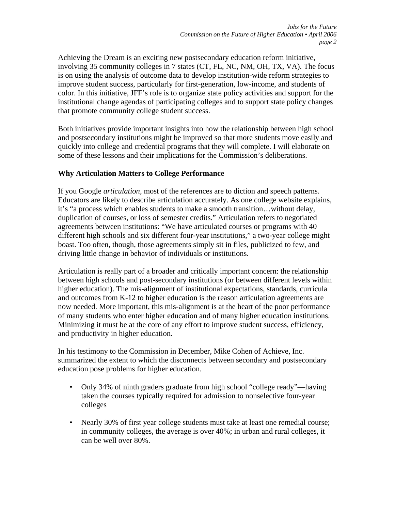Achieving the Dream is an exciting new postsecondary education reform initiative, involving 35 community colleges in 7 states (CT, FL, NC, NM, OH, TX, VA). The focus is on using the analysis of outcome data to develop institution-wide reform strategies to improve student success, particularly for first-generation, low-income, and students of color. In this initiative, JFF's role is to organize state policy activities and support for the institutional change agendas of participating colleges and to support state policy changes that promote community college student success.

Both initiatives provide important insights into how the relationship between high school and postsecondary institutions might be improved so that more students move easily and quickly into college and credential programs that they will complete. I will elaborate on some of these lessons and their implications for the Commission's deliberations.

### **Why Articulation Matters to College Performance**

If you Google *articulation,* most of the references are to diction and speech patterns. Educators are likely to describe articulation accurately. As one college website explains, it's "a process which enables students to make a smooth transition…without delay, duplication of courses, or loss of semester credits." Articulation refers to negotiated agreements between institutions: "We have articulated courses or programs with 40 different high schools and six different four-year institutions," a two-year college might boast. Too often, though, those agreements simply sit in files, publicized to few, and driving little change in behavior of individuals or institutions.

Articulation is really part of a broader and critically important concern: the relationship between high schools and post-secondary institutions (or between different levels within higher education). The mis-alignment of institutional expectations, standards, curricula and outcomes from K-12 to higher education is the reason articulation agreements are now needed. More important, this mis-alignment is at the heart of the poor performance of many students who enter higher education and of many higher education institutions. Minimizing it must be at the core of any effort to improve student success, efficiency, and productivity in higher education.

In his testimony to the Commission in December, Mike Cohen of Achieve, Inc. summarized the extent to which the disconnects between secondary and postsecondary education pose problems for higher education.

- Only 34% of ninth graders graduate from high school "college ready"—having taken the courses typically required for admission to nonselective four-year colleges
- Nearly 30% of first year college students must take at least one remedial course; in community colleges, the average is over 40%; in urban and rural colleges, it can be well over 80%.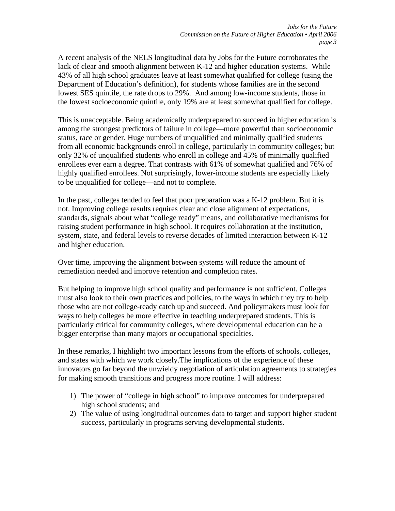A recent analysis of the NELS longitudinal data by Jobs for the Future corroborates the lack of clear and smooth alignment between K-12 and higher education systems. While 43% of all high school graduates leave at least somewhat qualified for college (using the Department of Education's definition), for students whose families are in the second lowest SES quintile, the rate drops to 29%. And among low-income students, those in the lowest socioeconomic quintile, only 19% are at least somewhat qualified for college.

This is unacceptable. Being academically underprepared to succeed in higher education is among the strongest predictors of failure in college—more powerful than socioeconomic status, race or gender. Huge numbers of unqualified and minimally qualified students from all economic backgrounds enroll in college, particularly in community colleges; but only 32% of unqualified students who enroll in college and 45% of minimally qualified enrollees ever earn a degree. That contrasts with 61% of somewhat qualified and 76% of highly qualified enrollees. Not surprisingly, lower-income students are especially likely to be unqualified for college—and not to complete.

In the past, colleges tended to feel that poor preparation was a K-12 problem. But it is not. Improving college results requires clear and close alignment of expectations, standards, signals about what "college ready" means, and collaborative mechanisms for raising student performance in high school. It requires collaboration at the institution, system, state, and federal levels to reverse decades of limited interaction between K-12 and higher education.

Over time, improving the alignment between systems will reduce the amount of remediation needed and improve retention and completion rates.

But helping to improve high school quality and performance is not sufficient. Colleges must also look to their own practices and policies, to the ways in which they try to help those who are not college-ready catch up and succeed. And policymakers must look for ways to help colleges be more effective in teaching underprepared students. This is particularly critical for community colleges, where developmental education can be a bigger enterprise than many majors or occupational specialties.

In these remarks, I highlight two important lessons from the efforts of schools, colleges, and states with which we work closely.The implications of the experience of these innovators go far beyond the unwieldy negotiation of articulation agreements to strategies for making smooth transitions and progress more routine. I will address:

- 1) The power of "college in high school" to improve outcomes for underprepared high school students; and
- 2) The value of using longitudinal outcomes data to target and support higher student success, particularly in programs serving developmental students.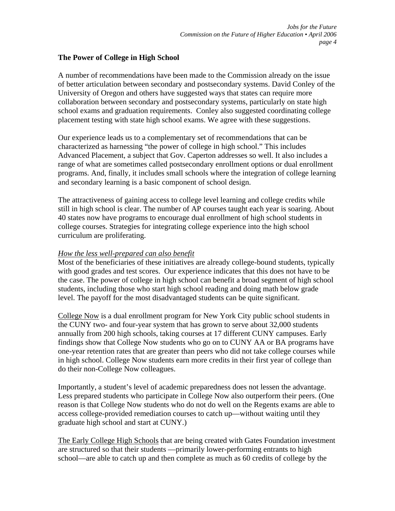### **The Power of College in High School**

A number of recommendations have been made to the Commission already on the issue of better articulation between secondary and postsecondary systems. David Conley of the University of Oregon and others have suggested ways that states can require more collaboration between secondary and postsecondary systems, particularly on state high school exams and graduation requirements. Conley also suggested coordinating college placement testing with state high school exams. We agree with these suggestions.

Our experience leads us to a complementary set of recommendations that can be characterized as harnessing "the power of college in high school." This includes Advanced Placement, a subject that Gov. Caperton addresses so well. It also includes a range of what are sometimes called postsecondary enrollment options or dual enrollment programs. And, finally, it includes small schools where the integration of college learning and secondary learning is a basic component of school design.

The attractiveness of gaining access to college level learning and college credits while still in high school is clear. The number of AP courses taught each year is soaring. About 40 states now have programs to encourage dual enrollment of high school students in college courses. Strategies for integrating college experience into the high school curriculum are proliferating.

#### *How the less well-prepared can also benefit*

Most of the beneficiaries of these initiatives are already college-bound students, typically with good grades and test scores. Our experience indicates that this does not have to be the case. The power of college in high school can benefit a broad segment of high school students, including those who start high school reading and doing math below grade level. The payoff for the most disadvantaged students can be quite significant.

College Now is a dual enrollment program for New York City public school students in the CUNY two- and four-year system that has grown to serve about 32,000 students annually from 200 high schools, taking courses at 17 different CUNY campuses. Early findings show that College Now students who go on to CUNY AA or BA programs have one-year retention rates that are greater than peers who did not take college courses while in high school. College Now students earn more credits in their first year of college than do their non-College Now colleagues.

Importantly, a student's level of academic preparedness does not lessen the advantage. Less prepared students who participate in College Now also outperform their peers. (One reason is that College Now students who do not do well on the Regents exams are able to access college-provided remediation courses to catch up—without waiting until they graduate high school and start at CUNY.)

The Early College High Schools that are being created with Gates Foundation investment are structured so that their students —primarily lower-performing entrants to high school—are able to catch up and then complete as much as 60 credits of college by the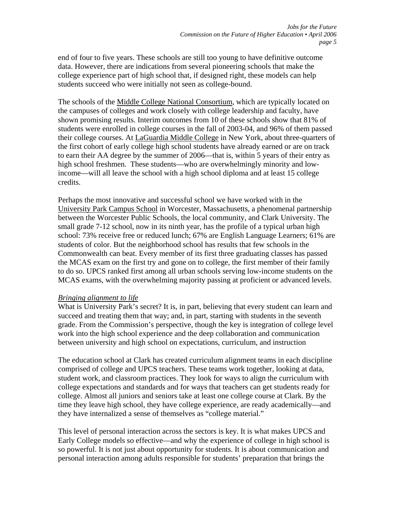end of four to five years. These schools are still too young to have definitive outcome data. However, there are indications from several pioneering schools that make the college experience part of high school that, if designed right, these models can help students succeed who were initially not seen as college-bound.

The schools of the Middle College National Consortium, which are typically located on the campuses of colleges and work closely with college leadership and faculty, have shown promising results. Interim outcomes from 10 of these schools show that 81% of students were enrolled in college courses in the fall of 2003-04, and 96% of them passed their college courses. At LaGuardia Middle College in New York, about three-quarters of the first cohort of early college high school students have already earned or are on track to earn their AA degree by the summer of 2006—that is, within 5 years of their entry as high school freshmen. These students—who are overwhelmingly minority and lowincome—will all leave the school with a high school diploma and at least 15 college credits.

Perhaps the most innovative and successful school we have worked with in the University Park Campus School in Worcester, Massachusetts, a phenomenal partnership between the Worcester Public Schools, the local community, and Clark University. The small grade 7-12 school, now in its ninth year, has the profile of a typical urban high school: 73% receive free or reduced lunch; 67% are English Language Learners; 61% are students of color. But the neighborhood school has results that few schools in the Commonwealth can beat. Every member of its first three graduating classes has passed the MCAS exam on the first try and gone on to college, the first member of their family to do so. UPCS ranked first among all urban schools serving low-income students on the MCAS exams, with the overwhelming majority passing at proficient or advanced levels.

#### *Bringing alignment to life*

What is University Park's secret? It is, in part, believing that every student can learn and succeed and treating them that way; and, in part, starting with students in the seventh grade. From the Commission's perspective, though the key is integration of college level work into the high school experience and the deep collaboration and communication between university and high school on expectations, curriculum, and instruction

The education school at Clark has created curriculum alignment teams in each discipline comprised of college and UPCS teachers. These teams work together, looking at data, student work, and classroom practices. They look for ways to align the curriculum with college expectations and standards and for ways that teachers can get students ready for college. Almost all juniors and seniors take at least one college course at Clark. By the time they leave high school, they have college experience, are ready academically—and they have internalized a sense of themselves as "college material."

This level of personal interaction across the sectors is key. It is what makes UPCS and Early College models so effective—and why the experience of college in high school is so powerful. It is not just about opportunity for students. It is about communication and personal interaction among adults responsible for students' preparation that brings the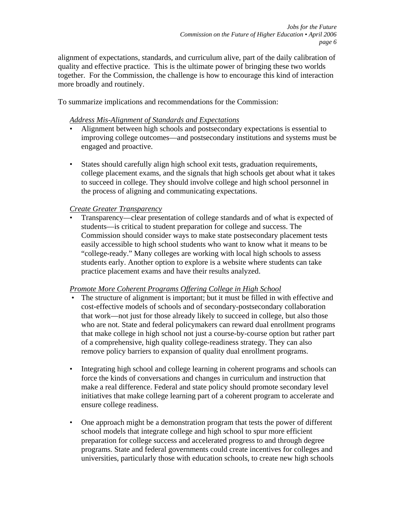alignment of expectations, standards, and curriculum alive, part of the daily calibration of quality and effective practice. This is the ultimate power of bringing these two worlds together. For the Commission, the challenge is how to encourage this kind of interaction more broadly and routinely.

To summarize implications and recommendations for the Commission:

### *Address Mis-Alignment of Standards and Expectations*

- Alignment between high schools and postsecondary expectations is essential to improving college outcomes—and postsecondary institutions and systems must be engaged and proactive.
- States should carefully align high school exit tests, graduation requirements, college placement exams, and the signals that high schools get about what it takes to succeed in college. They should involve college and high school personnel in the process of aligning and communicating expectations.

## *Create Greater Transparency*

• Transparency—clear presentation of college standards and of what is expected of students—is critical to student preparation for college and success. The Commission should consider ways to make state postsecondary placement tests easily accessible to high school students who want to know what it means to be "college-ready." Many colleges are working with local high schools to assess students early. Another option to explore is a website where students can take practice placement exams and have their results analyzed.

### *Promote More Coherent Programs Offering College in High School*

- The structure of alignment is important; but it must be filled in with effective and cost-effective models of schools and of secondary-postsecondary collaboration that work—not just for those already likely to succeed in college, but also those who are not. State and federal policymakers can reward dual enrollment programs that make college in high school not just a course-by-course option but rather part of a comprehensive, high quality college-readiness strategy. They can also remove policy barriers to expansion of quality dual enrollment programs.
- Integrating high school and college learning in coherent programs and schools can force the kinds of conversations and changes in curriculum and instruction that make a real difference. Federal and state policy should promote secondary level initiatives that make college learning part of a coherent program to accelerate and ensure college readiness.
- One approach might be a demonstration program that tests the power of different school models that integrate college and high school to spur more efficient preparation for college success and accelerated progress to and through degree programs. State and federal governments could create incentives for colleges and universities, particularly those with education schools, to create new high schools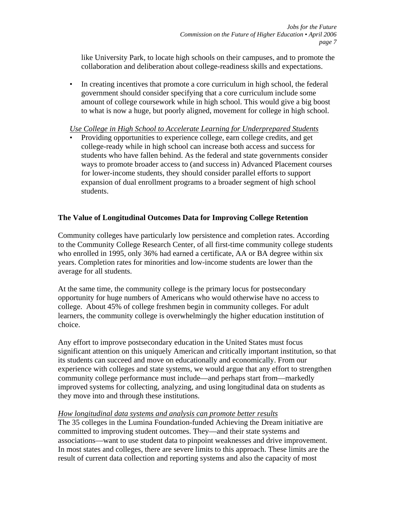like University Park, to locate high schools on their campuses, and to promote the collaboration and deliberation about college-readiness skills and expectations.

• In creating incentives that promote a core curriculum in high school, the federal government should consider specifying that a core curriculum include some amount of college coursework while in high school. This would give a big boost to what is now a huge, but poorly aligned, movement for college in high school.

### *Use College in High School to Accelerate Learning for Underprepared Students*

• Providing opportunities to experience college, earn college credits, and get college-ready while in high school can increase both access and success for students who have fallen behind. As the federal and state governments consider ways to promote broader access to (and success in) Advanced Placement courses for lower-income students, they should consider parallel efforts to support expansion of dual enrollment programs to a broader segment of high school students.

# **The Value of Longitudinal Outcomes Data for Improving College Retention**

Community colleges have particularly low persistence and completion rates. According to the Community College Research Center, of all first-time community college students who enrolled in 1995, only 36% had earned a certificate, AA or BA degree within six years. Completion rates for minorities and low-income students are lower than the average for all students.

At the same time, the community college is the primary locus for postsecondary opportunity for huge numbers of Americans who would otherwise have no access to college. About 45% of college freshmen begin in community colleges. For adult learners, the community college is overwhelmingly the higher education institution of choice.

Any effort to improve postsecondary education in the United States must focus significant attention on this uniquely American and critically important institution, so that its students can succeed and move on educationally and economically. From our experience with colleges and state systems, we would argue that any effort to strengthen community college performance must include—and perhaps start from—markedly improved systems for collecting, analyzing, and using longitudinal data on students as they move into and through these institutions.

### *How longitudinal data systems and analysis can promote better results*

The 35 colleges in the Lumina Foundation-funded Achieving the Dream initiative are committed to improving student outcomes. They—and their state systems and associations—want to use student data to pinpoint weaknesses and drive improvement. In most states and colleges, there are severe limits to this approach. These limits are the result of current data collection and reporting systems and also the capacity of most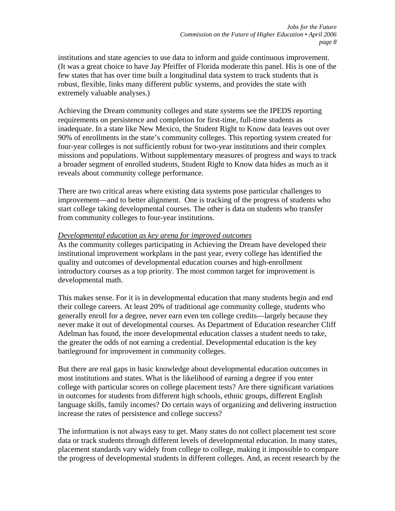institutions and state agencies to use data to inform and guide continuous improvement. (It was a great choice to have Jay Pfeiffer of Florida moderate this panel. His is one of the few states that has over time built a longitudinal data system to track students that is robust, flexible, links many different public systems, and provides the state with extremely valuable analyses.)

Achieving the Dream community colleges and state systems see the IPEDS reporting requirements on persistence and completion for first-time, full-time students as inadequate. In a state like New Mexico, the Student Right to Know data leaves out over 90% of enrollments in the state's community colleges. This reporting system created for four-year colleges is not sufficiently robust for two-year institutions and their complex missions and populations. Without supplementary measures of progress and ways to track a broader segment of enrolled students, Student Right to Know data hides as much as it reveals about community college performance.

There are two critical areas where existing data systems pose particular challenges to improvement—and to better alignment. One is tracking of the progress of students who start college taking developmental courses. The other is data on students who transfer from community colleges to four-year institutions.

#### *Developmental education as key arena for improved outcomes*

As the community colleges participating in Achieving the Dream have developed their institutional improvement workplans in the past year, every college has identified the quality and outcomes of developmental education courses and high-enrollment introductory courses as a top priority. The most common target for improvement is developmental math.

This makes sense. For it is in developmental education that many students begin and end their college careers. At least 20% of traditional age community college, students who generally enroll for a degree, never earn even ten college credits—largely because they never make it out of developmental courses. As Department of Education researcher Cliff Adelman has found, the more developmental education classes a student needs to take, the greater the odds of not earning a credential. Developmental education is the key battleground for improvement in community colleges.

But there are real gaps in basic knowledge about developmental education outcomes in most institutions and states. What is the likelihood of earning a degree if you enter college with particular scores on college placement tests? Are there significant variations in outcomes for students from different high schools, ethnic groups, different English language skills, family incomes? Do certain ways of organizing and delivering instruction increase the rates of persistence and college success?

The information is not always easy to get. Many states do not collect placement test score data or track students through different levels of developmental education. In many states, placement standards vary widely from college to college, making it impossible to compare the progress of developmental students in different colleges. And, as recent research by the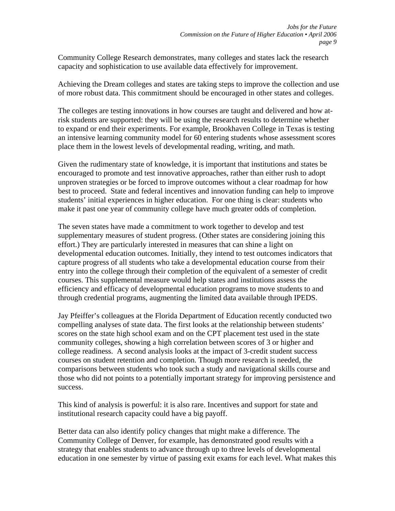Community College Research demonstrates, many colleges and states lack the research capacity and sophistication to use available data effectively for improvement.

Achieving the Dream colleges and states are taking steps to improve the collection and use of more robust data. This commitment should be encouraged in other states and colleges.

The colleges are testing innovations in how courses are taught and delivered and how atrisk students are supported: they will be using the research results to determine whether to expand or end their experiments. For example, Brookhaven College in Texas is testing an intensive learning community model for 60 entering students whose assessment scores place them in the lowest levels of developmental reading, writing, and math.

Given the rudimentary state of knowledge, it is important that institutions and states be encouraged to promote and test innovative approaches, rather than either rush to adopt unproven strategies or be forced to improve outcomes without a clear roadmap for how best to proceed. State and federal incentives and innovation funding can help to improve students' initial experiences in higher education. For one thing is clear: students who make it past one year of community college have much greater odds of completion.

The seven states have made a commitment to work together to develop and test supplementary measures of student progress. (Other states are considering joining this effort.) They are particularly interested in measures that can shine a light on developmental education outcomes. Initially, they intend to test outcomes indicators that capture progress of all students who take a developmental education course from their entry into the college through their completion of the equivalent of a semester of credit courses. This supplemental measure would help states and institutions assess the efficiency and efficacy of developmental education programs to move students to and through credential programs, augmenting the limited data available through IPEDS.

Jay Pfeiffer's colleagues at the Florida Department of Education recently conducted two compelling analyses of state data. The first looks at the relationship between students' scores on the state high school exam and on the CPT placement test used in the state community colleges, showing a high correlation between scores of 3 or higher and college readiness. A second analysis looks at the impact of 3-credit student success courses on student retention and completion. Though more research is needed, the comparisons between students who took such a study and navigational skills course and those who did not points to a potentially important strategy for improving persistence and success.

This kind of analysis is powerful: it is also rare. Incentives and support for state and institutional research capacity could have a big payoff.

Better data can also identify policy changes that might make a difference. The Community College of Denver, for example, has demonstrated good results with a strategy that enables students to advance through up to three levels of developmental education in one semester by virtue of passing exit exams for each level. What makes this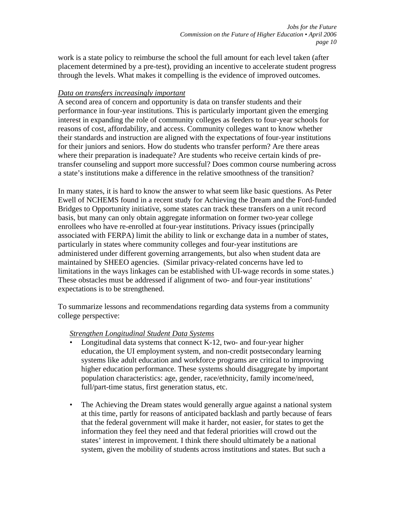work is a state policy to reimburse the school the full amount for each level taken (after placement determined by a pre-test), providing an incentive to accelerate student progress through the levels. What makes it compelling is the evidence of improved outcomes.

### *Data on transfers increasingly important*

A second area of concern and opportunity is data on transfer students and their performance in four-year institutions. This is particularly important given the emerging interest in expanding the role of community colleges as feeders to four-year schools for reasons of cost, affordability, and access. Community colleges want to know whether their standards and instruction are aligned with the expectations of four-year institutions for their juniors and seniors. How do students who transfer perform? Are there areas where their preparation is inadequate? Are students who receive certain kinds of pretransfer counseling and support more successful? Does common course numbering across a state's institutions make a difference in the relative smoothness of the transition?

In many states, it is hard to know the answer to what seem like basic questions. As Peter Ewell of NCHEMS found in a recent study for Achieving the Dream and the Ford-funded Bridges to Opportunity initiative, some states can track these transfers on a unit record basis, but many can only obtain aggregate information on former two-year college enrollees who have re-enrolled at four-year institutions. Privacy issues (principally associated with FERPA) limit the ability to link or exchange data in a number of states, particularly in states where community colleges and four-year institutions are administered under different governing arrangements, but also when student data are maintained by SHEEO agencies. (Similar privacy-related concerns have led to limitations in the ways linkages can be established with UI-wage records in some states.) These obstacles must be addressed if alignment of two- and four-year institutions' expectations is to be strengthened.

To summarize lessons and recommendations regarding data systems from a community college perspective:

### *Strengthen Longitudinal Student Data Systems*

- Longitudinal data systems that connect K-12, two- and four-year higher education, the UI employment system, and non-credit postsecondary learning systems like adult education and workforce programs are critical to improving higher education performance. These systems should disaggregate by important population characteristics: age, gender, race/ethnicity, family income/need, full/part-time status, first generation status, etc.
- The Achieving the Dream states would generally argue against a national system at this time, partly for reasons of anticipated backlash and partly because of fears that the federal government will make it harder, not easier, for states to get the information they feel they need and that federal priorities will crowd out the states' interest in improvement. I think there should ultimately be a national system, given the mobility of students across institutions and states. But such a